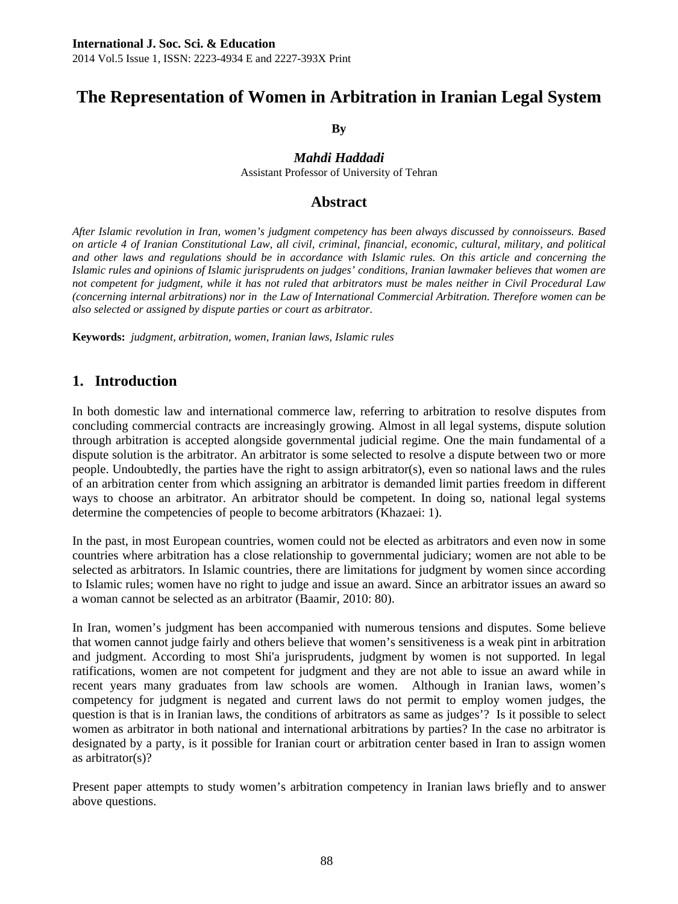# **The Representation of Women in Arbitration in Iranian Legal System**

**By** 

#### *Mahdi Haddadi*

Assistant Professor of University of Tehran

## **Abstract**

*After Islamic revolution in Iran, women's judgment competency has been always discussed by connoisseurs. Based on article 4 of Iranian Constitutional Law, all civil, criminal, financial, economic, cultural, military, and political*  and other laws and regulations should be in accordance with Islamic rules. On this article and concerning the *Islamic rules and opinions of Islamic jurisprudents on judges' conditions, Iranian lawmaker believes that women are not competent for judgment, while it has not ruled that arbitrators must be males neither in Civil Procedural Law (concerning internal arbitrations) nor in the Law of International Commercial Arbitration. Therefore women can be also selected or assigned by dispute parties or court as arbitrator.* 

**Keywords:** *judgment, arbitration, women, Iranian laws, Islamic rules* 

# **1. Introduction**

In both domestic law and international commerce law, referring to arbitration to resolve disputes from concluding commercial contracts are increasingly growing. Almost in all legal systems, dispute solution through arbitration is accepted alongside governmental judicial regime. One the main fundamental of a dispute solution is the arbitrator. An arbitrator is some selected to resolve a dispute between two or more people. Undoubtedly, the parties have the right to assign arbitrator(s), even so national laws and the rules of an arbitration center from which assigning an arbitrator is demanded limit parties freedom in different ways to choose an arbitrator. An arbitrator should be competent. In doing so, national legal systems determine the competencies of people to become arbitrators (Khazaei: 1).

In the past, in most European countries, women could not be elected as arbitrators and even now in some countries where arbitration has a close relationship to governmental judiciary; women are not able to be selected as arbitrators. In Islamic countries, there are limitations for judgment by women since according to Islamic rules; women have no right to judge and issue an award. Since an arbitrator issues an award so a woman cannot be selected as an arbitrator (Baamir, 2010: 80).

In Iran, women's judgment has been accompanied with numerous tensions and disputes. Some believe that women cannot judge fairly and others believe that women's sensitiveness is a weak pint in arbitration and judgment. According to most Shi'a jurisprudents, judgment by women is not supported. In legal ratifications, women are not competent for judgment and they are not able to issue an award while in recent years many graduates from law schools are women. Although in Iranian laws, women's competency for judgment is negated and current laws do not permit to employ women judges, the question is that is in Iranian laws, the conditions of arbitrators as same as judges'? Is it possible to select women as arbitrator in both national and international arbitrations by parties? In the case no arbitrator is designated by a party, is it possible for Iranian court or arbitration center based in Iran to assign women as arbitrator(s)?

Present paper attempts to study women's arbitration competency in Iranian laws briefly and to answer above questions.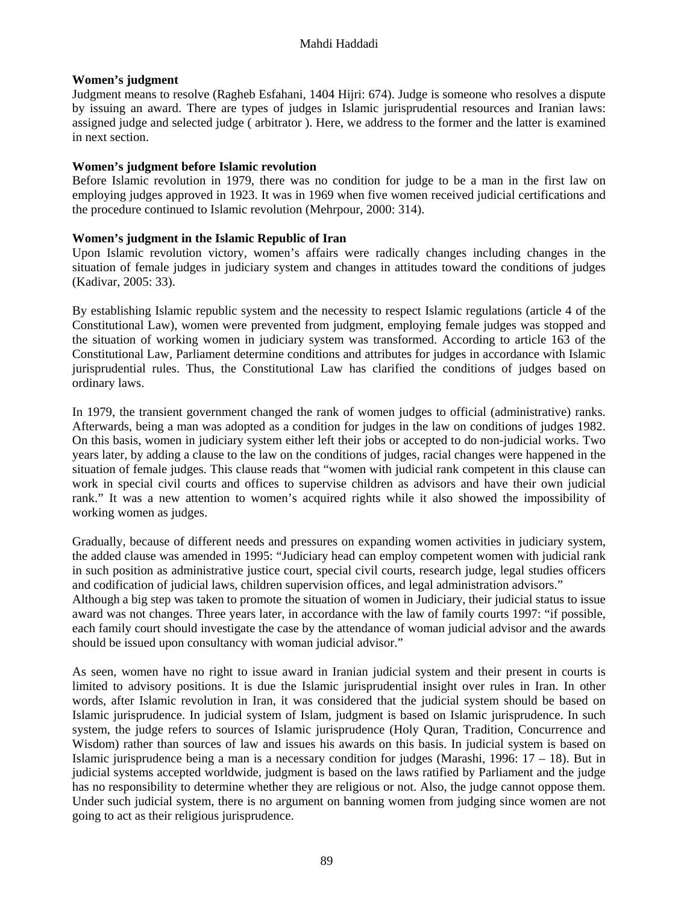#### **Women's judgment**

Judgment means to resolve (Ragheb Esfahani, 1404 Hijri: 674). Judge is someone who resolves a dispute by issuing an award. There are types of judges in Islamic jurisprudential resources and Iranian laws: assigned judge and selected judge ( arbitrator ). Here, we address to the former and the latter is examined in next section.

#### **Women's judgment before Islamic revolution**

Before Islamic revolution in 1979, there was no condition for judge to be a man in the first law on employing judges approved in 1923. It was in 1969 when five women received judicial certifications and the procedure continued to Islamic revolution (Mehrpour, 2000: 314).

#### **Women's judgment in the Islamic Republic of Iran**

Upon Islamic revolution victory, women's affairs were radically changes including changes in the situation of female judges in judiciary system and changes in attitudes toward the conditions of judges (Kadivar, 2005: 33).

By establishing Islamic republic system and the necessity to respect Islamic regulations (article 4 of the Constitutional Law), women were prevented from judgment, employing female judges was stopped and the situation of working women in judiciary system was transformed. According to article 163 of the Constitutional Law, Parliament determine conditions and attributes for judges in accordance with Islamic jurisprudential rules. Thus, the Constitutional Law has clarified the conditions of judges based on ordinary laws.

In 1979, the transient government changed the rank of women judges to official (administrative) ranks. Afterwards, being a man was adopted as a condition for judges in the law on conditions of judges 1982. On this basis, women in judiciary system either left their jobs or accepted to do non-judicial works. Two years later, by adding a clause to the law on the conditions of judges, racial changes were happened in the situation of female judges. This clause reads that "women with judicial rank competent in this clause can work in special civil courts and offices to supervise children as advisors and have their own judicial rank." It was a new attention to women's acquired rights while it also showed the impossibility of working women as judges.

Gradually, because of different needs and pressures on expanding women activities in judiciary system, the added clause was amended in 1995: "Judiciary head can employ competent women with judicial rank in such position as administrative justice court, special civil courts, research judge, legal studies officers and codification of judicial laws, children supervision offices, and legal administration advisors."

Although a big step was taken to promote the situation of women in Judiciary, their judicial status to issue award was not changes. Three years later, in accordance with the law of family courts 1997: "if possible, each family court should investigate the case by the attendance of woman judicial advisor and the awards should be issued upon consultancy with woman judicial advisor."

As seen, women have no right to issue award in Iranian judicial system and their present in courts is limited to advisory positions. It is due the Islamic jurisprudential insight over rules in Iran. In other words, after Islamic revolution in Iran, it was considered that the judicial system should be based on Islamic jurisprudence. In judicial system of Islam, judgment is based on Islamic jurisprudence. In such system, the judge refers to sources of Islamic jurisprudence (Holy Quran, Tradition, Concurrence and Wisdom) rather than sources of law and issues his awards on this basis. In judicial system is based on Islamic jurisprudence being a man is a necessary condition for judges (Marashi, 1996: 17 – 18). But in judicial systems accepted worldwide, judgment is based on the laws ratified by Parliament and the judge has no responsibility to determine whether they are religious or not. Also, the judge cannot oppose them. Under such judicial system, there is no argument on banning women from judging since women are not going to act as their religious jurisprudence.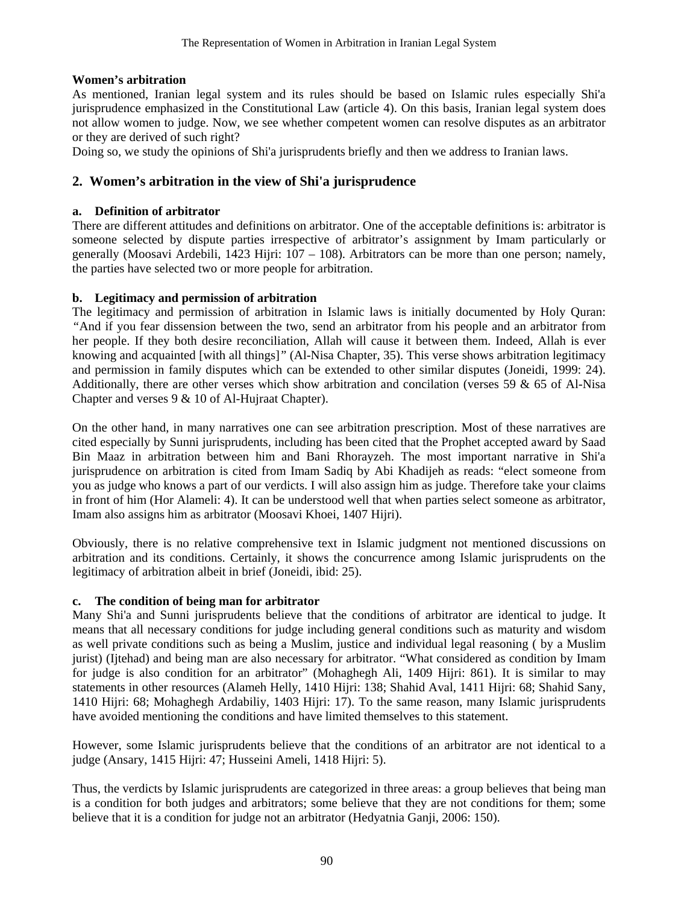#### **Women's arbitration**

As mentioned, Iranian legal system and its rules should be based on Islamic rules especially Shi'a jurisprudence emphasized in the Constitutional Law (article 4). On this basis, Iranian legal system does not allow women to judge. Now, we see whether competent women can resolve disputes as an arbitrator or they are derived of such right?

Doing so, we study the opinions of Shi'a jurisprudents briefly and then we address to Iranian laws.

# **2. Women's arbitration in the view of Shi'a jurisprudence**

#### **a. Definition of arbitrator**

There are different attitudes and definitions on arbitrator. One of the acceptable definitions is: arbitrator is someone selected by dispute parties irrespective of arbitrator's assignment by Imam particularly or generally (Moosavi Ardebili, 1423 Hijri: 107 – 108). Arbitrators can be more than one person; namely, the parties have selected two or more people for arbitration.

#### **b. Legitimacy and permission of arbitration**

The legitimacy and permission of arbitration in Islamic laws is initially documented by Holy Quran: *"*And if you fear dissension between the two, send an arbitrator from his people and an arbitrator from her people. If they both desire reconciliation, Allah will cause it between them. Indeed, Allah is ever knowing and acquainted [with all things]*"* (Al-Nisa Chapter, 35). This verse shows arbitration legitimacy and permission in family disputes which can be extended to other similar disputes (Joneidi, 1999: 24). Additionally, there are other verses which show arbitration and concilation (verses 59  $\&$  65 of Al-Nisa Chapter and verses 9 & 10 of Al-Hujraat Chapter).

On the other hand, in many narratives one can see arbitration prescription. Most of these narratives are cited especially by Sunni jurisprudents, including has been cited that the Prophet accepted award by Saad Bin Maaz in arbitration between him and Bani Rhorayzeh. The most important narrative in Shi'a jurisprudence on arbitration is cited from Imam Sadiq by Abi Khadijeh as reads: "elect someone from you as judge who knows a part of our verdicts. I will also assign him as judge. Therefore take your claims in front of him (Hor Alameli: 4). It can be understood well that when parties select someone as arbitrator, Imam also assigns him as arbitrator (Moosavi Khoei, 1407 Hijri).

Obviously, there is no relative comprehensive text in Islamic judgment not mentioned discussions on arbitration and its conditions. Certainly, it shows the concurrence among Islamic jurisprudents on the legitimacy of arbitration albeit in brief (Joneidi, ibid: 25).

## **c. The condition of being man for arbitrator**

Many Shi'a and Sunni jurisprudents believe that the conditions of arbitrator are identical to judge. It means that all necessary conditions for judge including general conditions such as maturity and wisdom as well private conditions such as being a Muslim, justice and individual legal reasoning ( by a Muslim jurist) (Ijtehad) and being man are also necessary for arbitrator. "What considered as condition by Imam for judge is also condition for an arbitrator" (Mohaghegh Ali, 1409 Hijri: 861). It is similar to may statements in other resources (Alameh Helly, 1410 Hijri: 138; Shahid Aval, 1411 Hijri: 68; Shahid Sany, 1410 Hijri: 68; Mohaghegh Ardabiliy, 1403 Hijri: 17). To the same reason, many Islamic jurisprudents have avoided mentioning the conditions and have limited themselves to this statement.

However, some Islamic jurisprudents believe that the conditions of an arbitrator are not identical to a judge (Ansary, 1415 Hijri: 47; Husseini Ameli, 1418 Hijri: 5).

Thus, the verdicts by Islamic jurisprudents are categorized in three areas: a group believes that being man is a condition for both judges and arbitrators; some believe that they are not conditions for them; some believe that it is a condition for judge not an arbitrator (Hedyatnia Ganji, 2006: 150).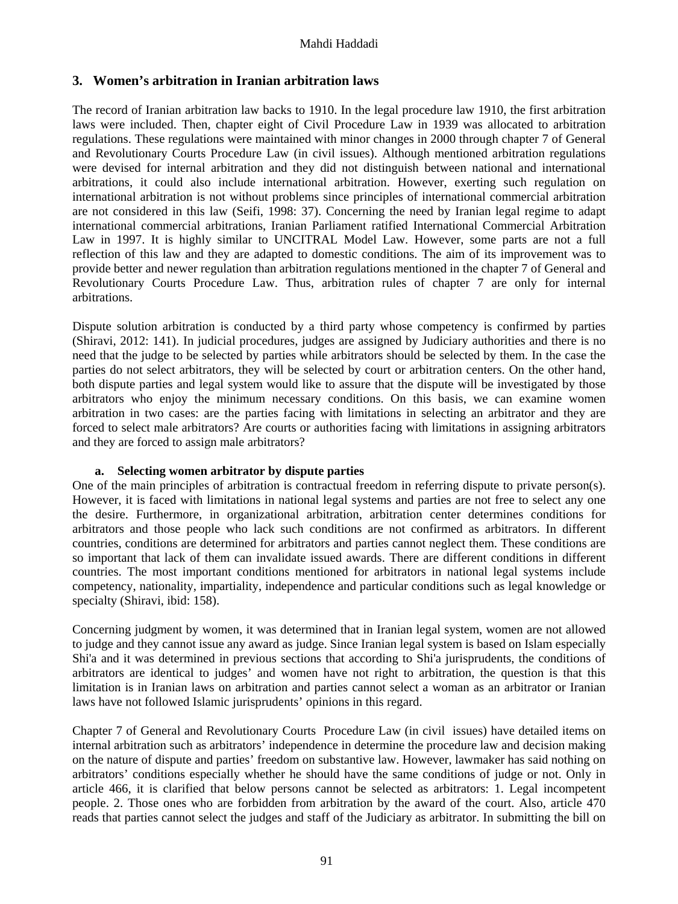#### **3. Women's arbitration in Iranian arbitration laws**

The record of Iranian arbitration law backs to 1910. In the legal procedure law 1910, the first arbitration laws were included. Then, chapter eight of Civil Procedure Law in 1939 was allocated to arbitration regulations. These regulations were maintained with minor changes in 2000 through chapter 7 of General and Revolutionary Courts Procedure Law (in civil issues). Although mentioned arbitration regulations were devised for internal arbitration and they did not distinguish between national and international arbitrations, it could also include international arbitration. However, exerting such regulation on international arbitration is not without problems since principles of international commercial arbitration are not considered in this law (Seifi, 1998: 37). Concerning the need by Iranian legal regime to adapt international commercial arbitrations, Iranian Parliament ratified International Commercial Arbitration Law in 1997. It is highly similar to UNCITRAL Model Law. However, some parts are not a full reflection of this law and they are adapted to domestic conditions. The aim of its improvement was to provide better and newer regulation than arbitration regulations mentioned in the chapter 7 of General and Revolutionary Courts Procedure Law. Thus, arbitration rules of chapter 7 are only for internal arbitrations.

Dispute solution arbitration is conducted by a third party whose competency is confirmed by parties (Shiravi, 2012: 141). In judicial procedures, judges are assigned by Judiciary authorities and there is no need that the judge to be selected by parties while arbitrators should be selected by them. In the case the parties do not select arbitrators, they will be selected by court or arbitration centers. On the other hand, both dispute parties and legal system would like to assure that the dispute will be investigated by those arbitrators who enjoy the minimum necessary conditions. On this basis, we can examine women arbitration in two cases: are the parties facing with limitations in selecting an arbitrator and they are forced to select male arbitrators? Are courts or authorities facing with limitations in assigning arbitrators and they are forced to assign male arbitrators?

#### **a. Selecting women arbitrator by dispute parties**

One of the main principles of arbitration is contractual freedom in referring dispute to private person(s). However, it is faced with limitations in national legal systems and parties are not free to select any one the desire. Furthermore, in organizational arbitration, arbitration center determines conditions for arbitrators and those people who lack such conditions are not confirmed as arbitrators. In different countries, conditions are determined for arbitrators and parties cannot neglect them. These conditions are so important that lack of them can invalidate issued awards. There are different conditions in different countries. The most important conditions mentioned for arbitrators in national legal systems include competency, nationality, impartiality, independence and particular conditions such as legal knowledge or specialty (Shiravi, ibid: 158).

Concerning judgment by women, it was determined that in Iranian legal system, women are not allowed to judge and they cannot issue any award as judge. Since Iranian legal system is based on Islam especially Shi'a and it was determined in previous sections that according to Shi'a jurisprudents, the conditions of arbitrators are identical to judges' and women have not right to arbitration, the question is that this limitation is in Iranian laws on arbitration and parties cannot select a woman as an arbitrator or Iranian laws have not followed Islamic jurisprudents' opinions in this regard.

Chapter 7 of General and Revolutionary Courts Procedure Law (in civil issues) have detailed items on internal arbitration such as arbitrators' independence in determine the procedure law and decision making on the nature of dispute and parties' freedom on substantive law. However, lawmaker has said nothing on arbitrators' conditions especially whether he should have the same conditions of judge or not. Only in article 466, it is clarified that below persons cannot be selected as arbitrators: 1. Legal incompetent people. 2. Those ones who are forbidden from arbitration by the award of the court. Also, article 470 reads that parties cannot select the judges and staff of the Judiciary as arbitrator. In submitting the bill on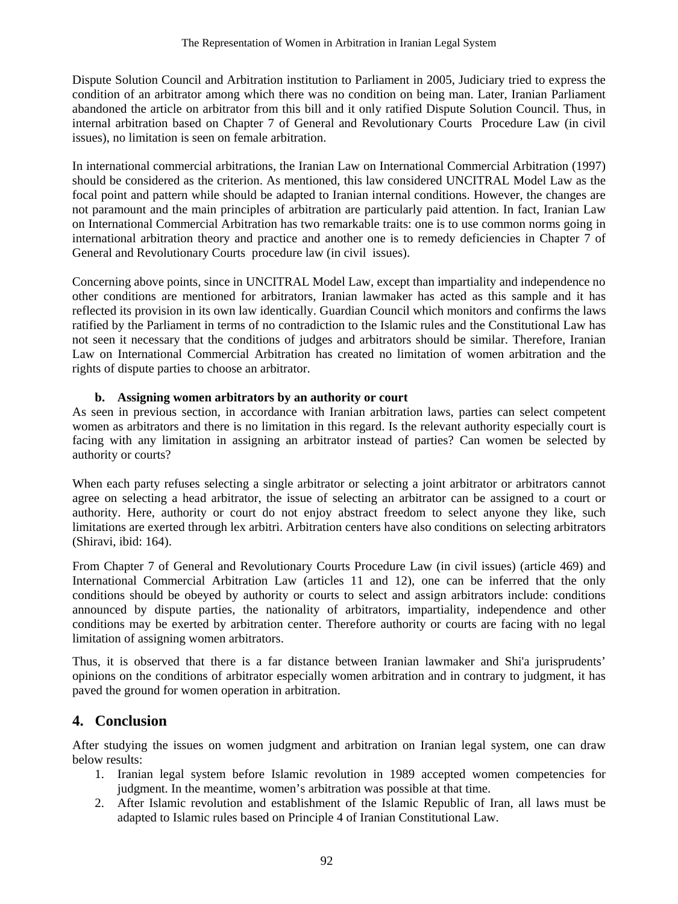Dispute Solution Council and Arbitration institution to Parliament in 2005, Judiciary tried to express the condition of an arbitrator among which there was no condition on being man. Later, Iranian Parliament abandoned the article on arbitrator from this bill and it only ratified Dispute Solution Council. Thus, in internal arbitration based on Chapter 7 of General and Revolutionary Courts Procedure Law (in civil issues), no limitation is seen on female arbitration.

In international commercial arbitrations, the Iranian Law on International Commercial Arbitration (1997) should be considered as the criterion. As mentioned, this law considered UNCITRAL Model Law as the focal point and pattern while should be adapted to Iranian internal conditions. However, the changes are not paramount and the main principles of arbitration are particularly paid attention. In fact, Iranian Law on International Commercial Arbitration has two remarkable traits: one is to use common norms going in international arbitration theory and practice and another one is to remedy deficiencies in Chapter 7 of General and Revolutionary Courts procedure law (in civil issues).

Concerning above points, since in UNCITRAL Model Law, except than impartiality and independence no other conditions are mentioned for arbitrators, Iranian lawmaker has acted as this sample and it has reflected its provision in its own law identically. Guardian Council which monitors and confirms the laws ratified by the Parliament in terms of no contradiction to the Islamic rules and the Constitutional Law has not seen it necessary that the conditions of judges and arbitrators should be similar. Therefore, Iranian Law on International Commercial Arbitration has created no limitation of women arbitration and the rights of dispute parties to choose an arbitrator.

## **b. Assigning women arbitrators by an authority or court**

As seen in previous section, in accordance with Iranian arbitration laws, parties can select competent women as arbitrators and there is no limitation in this regard. Is the relevant authority especially court is facing with any limitation in assigning an arbitrator instead of parties? Can women be selected by authority or courts?

When each party refuses selecting a single arbitrator or selecting a joint arbitrator or arbitrators cannot agree on selecting a head arbitrator, the issue of selecting an arbitrator can be assigned to a court or authority. Here, authority or court do not enjoy abstract freedom to select anyone they like, such limitations are exerted through lex arbitri. Arbitration centers have also conditions on selecting arbitrators (Shiravi, ibid: 164).

From Chapter 7 of General and Revolutionary Courts Procedure Law (in civil issues) (article 469) and International Commercial Arbitration Law (articles 11 and 12), one can be inferred that the only conditions should be obeyed by authority or courts to select and assign arbitrators include: conditions announced by dispute parties, the nationality of arbitrators, impartiality, independence and other conditions may be exerted by arbitration center. Therefore authority or courts are facing with no legal limitation of assigning women arbitrators.

Thus, it is observed that there is a far distance between Iranian lawmaker and Shi'a jurisprudents' opinions on the conditions of arbitrator especially women arbitration and in contrary to judgment, it has paved the ground for women operation in arbitration.

# **4. Conclusion**

After studying the issues on women judgment and arbitration on Iranian legal system, one can draw below results:

- 1. Iranian legal system before Islamic revolution in 1989 accepted women competencies for judgment. In the meantime, women's arbitration was possible at that time.
- 2. After Islamic revolution and establishment of the Islamic Republic of Iran, all laws must be adapted to Islamic rules based on Principle 4 of Iranian Constitutional Law.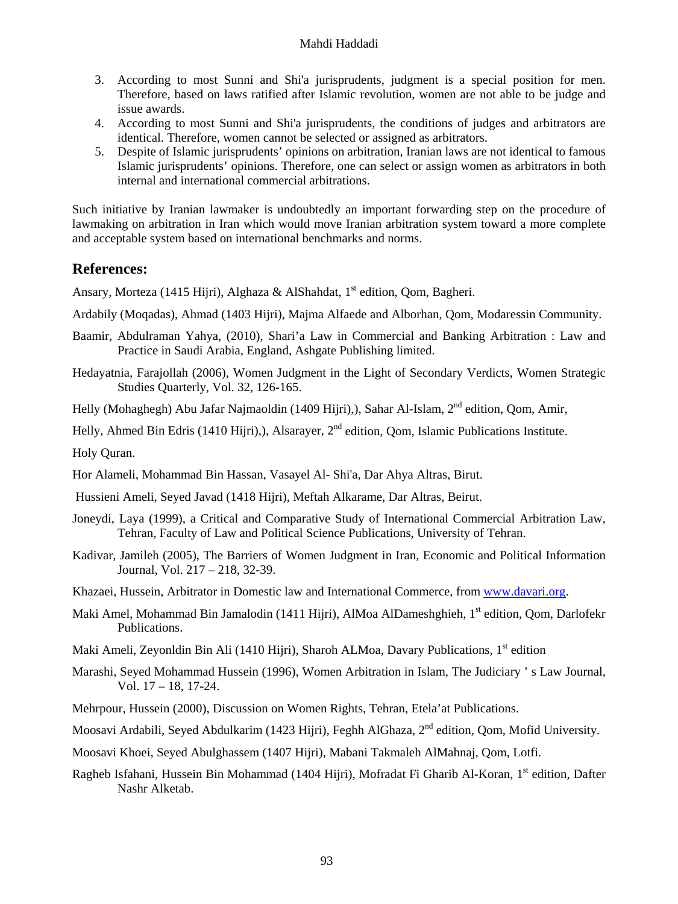#### Mahdi Haddadi

- 3. According to most Sunni and Shi'a jurisprudents, judgment is a special position for men. Therefore, based on laws ratified after Islamic revolution, women are not able to be judge and issue awards.
- 4. According to most Sunni and Shi'a jurisprudents, the conditions of judges and arbitrators are identical. Therefore, women cannot be selected or assigned as arbitrators.
- 5. Despite of Islamic jurisprudents' opinions on arbitration, Iranian laws are not identical to famous Islamic jurisprudents' opinions. Therefore, one can select or assign women as arbitrators in both internal and international commercial arbitrations.

Such initiative by Iranian lawmaker is undoubtedly an important forwarding step on the procedure of lawmaking on arbitration in Iran which would move Iranian arbitration system toward a more complete and acceptable system based on international benchmarks and norms.

## **References:**

Ansary, Morteza (1415 Hijri), Alghaza & AlShahdat, 1<sup>st</sup> edition, Qom, Bagheri.

- Ardabily (Moqadas), Ahmad (1403 Hijri), Majma Alfaede and Alborhan, Qom, Modaressin Community.
- Baamir, Abdulraman Yahya, (2010), Shari'a Law in Commercial and Banking Arbitration : Law and Practice in Saudi Arabia, England, Ashgate Publishing limited.
- Hedayatnia, Farajollah (2006), Women Judgment in the Light of Secondary Verdicts, Women Strategic Studies Quarterly, Vol. 32, 126-165.

Helly (Mohaghegh) Abu Jafar Najmaoldin (1409 Hijri),), Sahar Al-Islam, 2<sup>nd</sup> edition, Qom, Amir,

Helly, Ahmed Bin Edris (1410 Hijri),), Alsarayer, 2<sup>nd</sup> edition, Qom, Islamic Publications Institute.

Holy Quran.

Hor Alameli, Mohammad Bin Hassan, Vasayel Al- Shi'a, Dar Ahya Altras, Birut.

Hussieni Ameli, Seyed Javad (1418 Hijri), Meftah Alkarame, Dar Altras, Beirut.

- Joneydi, Laya (1999), a Critical and Comparative Study of International Commercial Arbitration Law, Tehran, Faculty of Law and Political Science Publications, University of Tehran.
- Kadivar, Jamileh (2005), The Barriers of Women Judgment in Iran, Economic and Political Information Journal, Vol. 217 – 218, 32-39.
- Khazaei, Hussein, Arbitrator in Domestic law and International Commerce, from www.davari.org.
- Maki Amel, Mohammad Bin Jamalodin (1411 Hijri), AlMoa AlDameshghieh, 1<sup>st</sup> edition, Qom, Darlofekr Publications.
- Maki Ameli, Zeyonldin Bin Ali (1410 Hijri), Sharoh ALMoa, Davary Publications, 1<sup>st</sup> edition
- Marashi, Seyed Mohammad Hussein (1996), Women Arbitration in Islam, The Judiciary ' s Law Journal, Vol. 17 – 18, 17-24.
- Mehrpour, Hussein (2000), Discussion on Women Rights, Tehran, Etela'at Publications.

Moosavi Ardabili, Seyed Abdulkarim (1423 Hijri), Feghh AlGhaza, 2<sup>nd</sup> edition, Qom, Mofid University.

- Moosavi Khoei, Seyed Abulghassem (1407 Hijri), Mabani Takmaleh AlMahnaj, Qom, Lotfi.
- Ragheb Isfahani, Hussein Bin Mohammad (1404 Hijri), Mofradat Fi Gharib Al-Koran, 1<sup>st</sup> edition, Dafter Nashr Alketab.